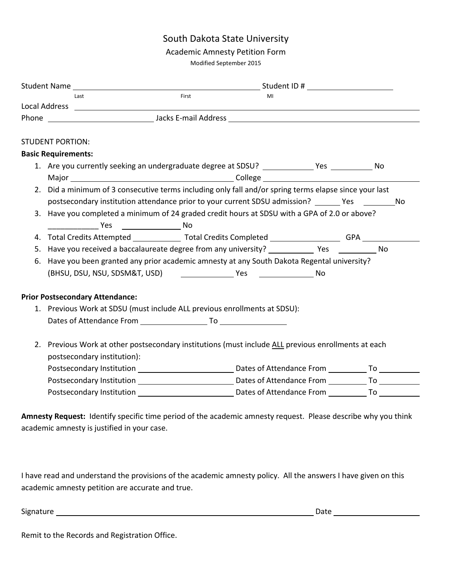# South Dakota State University

#### Academic Amnesty Petition Form

Modified September 2015

|    |                                                                                                        | Student Name and the student of the Student ID #                                              |       |    |  |  |  |  |  |
|----|--------------------------------------------------------------------------------------------------------|-----------------------------------------------------------------------------------------------|-------|----|--|--|--|--|--|
|    |                                                                                                        | Last                                                                                          | First | MI |  |  |  |  |  |
|    |                                                                                                        |                                                                                               |       |    |  |  |  |  |  |
|    |                                                                                                        |                                                                                               |       |    |  |  |  |  |  |
|    |                                                                                                        |                                                                                               |       |    |  |  |  |  |  |
|    | <b>STUDENT PORTION:</b>                                                                                |                                                                                               |       |    |  |  |  |  |  |
|    | <b>Basic Requirements:</b>                                                                             |                                                                                               |       |    |  |  |  |  |  |
|    |                                                                                                        |                                                                                               |       |    |  |  |  |  |  |
|    |                                                                                                        |                                                                                               |       |    |  |  |  |  |  |
|    | 2. Did a minimum of 3 consecutive terms including only fall and/or spring terms elapse since your last |                                                                                               |       |    |  |  |  |  |  |
|    |                                                                                                        | postsecondary institution attendance prior to your current SDSU admission? These Theory No    |       |    |  |  |  |  |  |
|    |                                                                                                        | 3. Have you completed a minimum of 24 graded credit hours at SDSU with a GPA of 2.0 or above? |       |    |  |  |  |  |  |
|    |                                                                                                        | <b>Example 19 Yes No. 2016</b>                                                                |       |    |  |  |  |  |  |
| 4. |                                                                                                        | Total Credits Attempted Total Credits Completed General Credits Completed                     |       |    |  |  |  |  |  |
|    |                                                                                                        |                                                                                               |       |    |  |  |  |  |  |
| 6. |                                                                                                        | Have you been granted any prior academic amnesty at any South Dakota Regental university?     |       |    |  |  |  |  |  |
|    |                                                                                                        |                                                                                               |       |    |  |  |  |  |  |
|    |                                                                                                        | <b>Prior Postsecondary Attendance:</b>                                                        |       |    |  |  |  |  |  |
|    | 1. Previous Work at SDSU (must include ALL previous enrollments at SDSU):                              |                                                                                               |       |    |  |  |  |  |  |
|    |                                                                                                        |                                                                                               |       |    |  |  |  |  |  |
|    |                                                                                                        |                                                                                               |       |    |  |  |  |  |  |
|    | 2. Previous Work at other postsecondary institutions (must include ALL previous enrollments at each    |                                                                                               |       |    |  |  |  |  |  |
|    | postsecondary institution):                                                                            |                                                                                               |       |    |  |  |  |  |  |
|    |                                                                                                        |                                                                                               |       |    |  |  |  |  |  |
|    |                                                                                                        |                                                                                               |       |    |  |  |  |  |  |
|    |                                                                                                        |                                                                                               |       |    |  |  |  |  |  |
|    |                                                                                                        |                                                                                               |       |    |  |  |  |  |  |

**Amnesty Request:** Identify specific time period of the academic amnesty request. Please describe why you think academic amnesty is justified in your case.

I have read and understand the provisions of the academic amnesty policy. All the answers I have given on this academic amnesty petition are accurate and true.

Signature Date

Remit to the Records and Registration Office.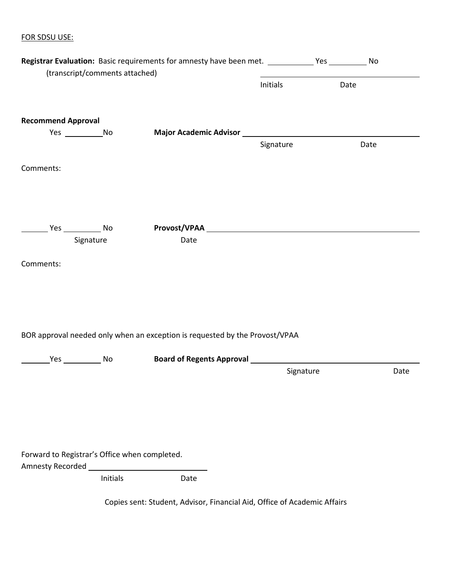## FOR SDSU USE:

|                                               |                                | Registrar Evaluation: Basic requirements for amnesty have been met. Yes Yes No                                                                                                                                                 |           |      |      |
|-----------------------------------------------|--------------------------------|--------------------------------------------------------------------------------------------------------------------------------------------------------------------------------------------------------------------------------|-----------|------|------|
|                                               | (transcript/comments attached) |                                                                                                                                                                                                                                |           |      |      |
|                                               |                                |                                                                                                                                                                                                                                | Initials  | Date |      |
| <b>Recommend Approval</b>                     |                                |                                                                                                                                                                                                                                |           |      |      |
| Yes ________________________No                |                                |                                                                                                                                                                                                                                |           |      |      |
|                                               |                                |                                                                                                                                                                                                                                | Signature | Date |      |
| Comments:                                     |                                |                                                                                                                                                                                                                                |           |      |      |
|                                               |                                |                                                                                                                                                                                                                                |           |      |      |
|                                               |                                | Provost/VPAA New York State State State State State State State State State State State State State State State State State State State State State State State State State State State State State State State State State St |           |      |      |
|                                               | Signature                      | Date                                                                                                                                                                                                                           |           |      |      |
| Comments:                                     |                                |                                                                                                                                                                                                                                |           |      |      |
|                                               |                                | BOR approval needed only when an exception is requested by the Provost/VPAA                                                                                                                                                    |           |      |      |
|                                               |                                | Yes ____________ No <b>Board of Regents Approval</b> _________________________________                                                                                                                                         |           |      |      |
|                                               |                                |                                                                                                                                                                                                                                | Signature |      | Date |
|                                               |                                |                                                                                                                                                                                                                                |           |      |      |
|                                               |                                |                                                                                                                                                                                                                                |           |      |      |
|                                               |                                |                                                                                                                                                                                                                                |           |      |      |
| Forward to Registrar's Office when completed. |                                |                                                                                                                                                                                                                                |           |      |      |
|                                               | Initials                       | Date                                                                                                                                                                                                                           |           |      |      |
|                                               |                                | Copies sent: Student, Advisor, Financial Aid, Office of Academic Affairs                                                                                                                                                       |           |      |      |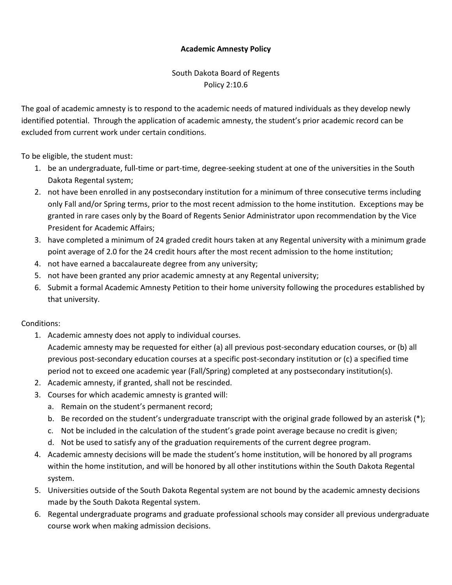### **Academic Amnesty Policy**

South Dakota Board of Regents Policy 2:10.6

The goal of academic amnesty is to respond to the academic needs of matured individuals as they develop newly identified potential. Through the application of academic amnesty, the student's prior academic record can be excluded from current work under certain conditions.

To be eligible, the student must:

- 1. be an undergraduate, full-time or part-time, degree-seeking student at one of the universities in the South Dakota Regental system;
- 2. not have been enrolled in any postsecondary institution for a minimum of three consecutive terms including only Fall and/or Spring terms, prior to the most recent admission to the home institution. Exceptions may be granted in rare cases only by the Board of Regents Senior Administrator upon recommendation by the Vice President for Academic Affairs;
- 3. have completed a minimum of 24 graded credit hours taken at any Regental university with a minimum grade point average of 2.0 for the 24 credit hours after the most recent admission to the home institution;
- 4. not have earned a baccalaureate degree from any university;
- 5. not have been granted any prior academic amnesty at any Regental university;
- 6. Submit a formal Academic Amnesty Petition to their home university following the procedures established by that university.

### Conditions:

1. Academic amnesty does not apply to individual courses.

Academic amnesty may be requested for either (a) all previous post-secondary education courses, or (b) all previous post-secondary education courses at a specific post-secondary institution or (c) a specified time period not to exceed one academic year (Fall/Spring) completed at any postsecondary institution(s).

- 2. Academic amnesty, if granted, shall not be rescinded.
- 3. Courses for which academic amnesty is granted will:
	- a. Remain on the student's permanent record;
	- b. Be recorded on the student's undergraduate transcript with the original grade followed by an asterisk (\*);
	- c. Not be included in the calculation of the student's grade point average because no credit is given;
	- d. Not be used to satisfy any of the graduation requirements of the current degree program.
- 4. Academic amnesty decisions will be made the student's home institution, will be honored by all programs within the home institution, and will be honored by all other institutions within the South Dakota Regental system.
- 5. Universities outside of the South Dakota Regental system are not bound by the academic amnesty decisions made by the South Dakota Regental system.
- 6. Regental undergraduate programs and graduate professional schools may consider all previous undergraduate course work when making admission decisions.